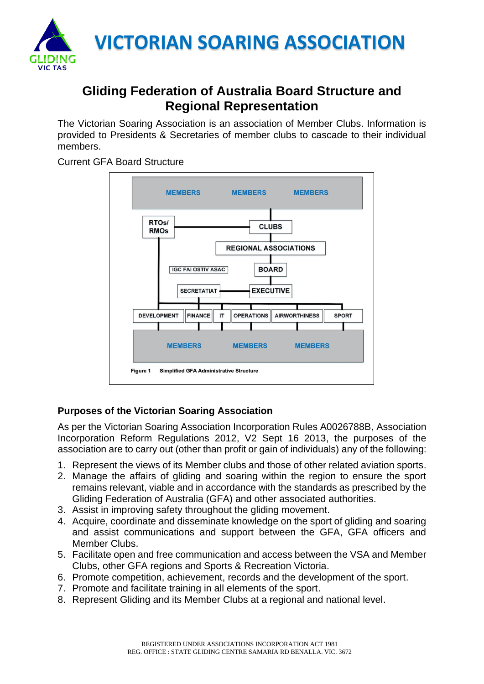

## **Gliding Federation of Australia Board Structure and Regional Representation**

The Victorian Soaring Association is an association of Member Clubs. Information is provided to Presidents & Secretaries of member clubs to cascade to their individual members.

Current GFA Board Structure



## **Purposes of the Victorian Soaring Association**

As per the Victorian Soaring Association Incorporation Rules A0026788B, Association Incorporation Reform Regulations 2012, V2 Sept 16 2013, the purposes of the association are to carry out (other than profit or gain of individuals) any of the following:

- 1. Represent the views of its Member clubs and those of other related aviation sports.
- 2. Manage the affairs of gliding and soaring within the region to ensure the sport remains relevant, viable and in accordance with the standards as prescribed by the Gliding Federation of Australia (GFA) and other associated authorities.
- 3. Assist in improving safety throughout the gliding movement.
- 4. Acquire, coordinate and disseminate knowledge on the sport of gliding and soaring and assist communications and support between the GFA, GFA officers and Member Clubs.
- 5. Facilitate open and free communication and access between the VSA and Member Clubs, other GFA regions and Sports & Recreation Victoria.
- 6. Promote competition, achievement, records and the development of the sport.
- 7. Promote and facilitate training in all elements of the sport.
- 8. Represent Gliding and its Member Clubs at a regional and national level.